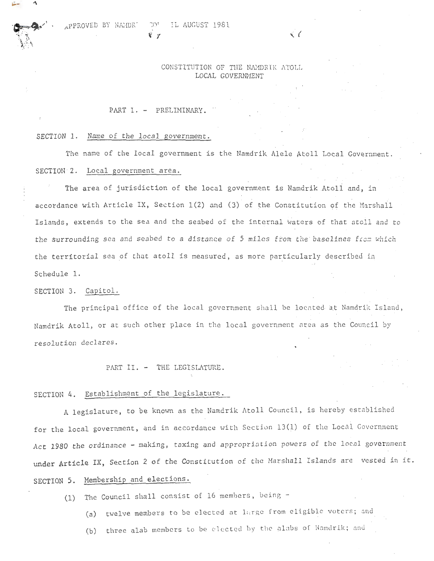## CONSTITUTION OF THE NAMDRIK ATOLL LOCAL GOVERNNENT

#### PART I. - PRELIMINARY.

#### SECTION 1. Name of the local government.

The name of the local government is the Namdrik Alele Atoll Local Government. SECTION 2. Local government area.

The area of jurisdiction of the local government is Namdrik Atoll and, in accordance with Article IX, Section  $1(2)$  and  $(3)$  of the Constitution of the Marshall Islands, extends to the sea and the seabed of the internal waters of that atoll and to the surrounding sea and seabed to a distance of 5 miles from the baselines from which the territorial sea of that atoll is measured, as more particularly described in Schedule 1.

### SECTION 3. Capitol.

The principal office of the local government shall be locnted at Namdrik Island, Namdrik Atoll, or at such other place in the local government nrea as the Council by resolution declares.

PART II. - THE LEGISLATURE.

## SECTION 4. Establishment of the legislature.

A legislature, to be known as the Namdrik Atoll Council, is hereby established for the local government, and in accordance with Section 13(1) of the Local Government Act 1980 the ordinance - making, taxing and appropriation powers of the local government under Article IX, Section 2 of the Constitution of the Marshall Islands are vested in it.

# SECTION 5. Hembership and elections.

(1) The Council shall consist of 16 members, being -

- (a) twelve members to be elected at large from eligible voters; and
- (b) three alab members to be elected by the alabs of Namdrik; and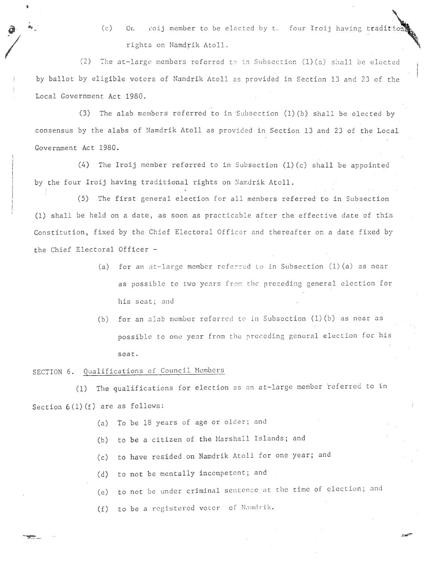(c) On coij member to be elected by t. four Iroij having tradition rights on Namdrik Atoll.

 $\left(\begin{array}{ccc} 1 & 0 & 0 \\ 0 & 0 & 0 \\ 0 & 0 & 0 \end{array}\right)$ (2) The at-large members referred to in Subsection  $(1)(a)$  shall be elected by ballot by eligible voters of Namdrik Atoll as provided in Section 13 and 23 of the Local Government Act 1980.

(3) The alab members referred to in Subsection (1) (b) shall be elected by consensus by the alabs of Namdrik Atoll as provided in Section 13 and 23 of the Local Government Act 1980.

(4) The Iroij member referred to in Subsection (1)(c) shall be appointed by the four Iroij having traditional rights on Namdrik Atoll.

(5) The first general election for all members referred to in Subsection (1) shall be held on a date, as soon as practicable after the effective date of this Constitution, fixed by the Chief Electoral Officer and the reafter on a date fixed by the Chief Electoral Officer -

- (a) for an at-large member referred to in Subsection  $(1)$  (a) as near as possible to two years from the preceding general election for his seat; and
- (b) for an alab member referred to in Subsection  $(1)(b)$  as near as possible to one year from the preceding general election for his seat.

# SECTION 6. Qualifications of Council Members

(1) The qualifications for election as an at-large member referred to in Section  $6(1)(f)$  are as follows:

- (a) To be 18 years of age or older; and
- (b) to be a citizen of the Marshall Islands; and
- (c) to have resided on Namdrik Atoll for one year; and
- (d) to not be mentally incompetent; and
- (e) to not be under criminal sentence at the time of election; and
- (f) to be a registered voter of Namdrik.

•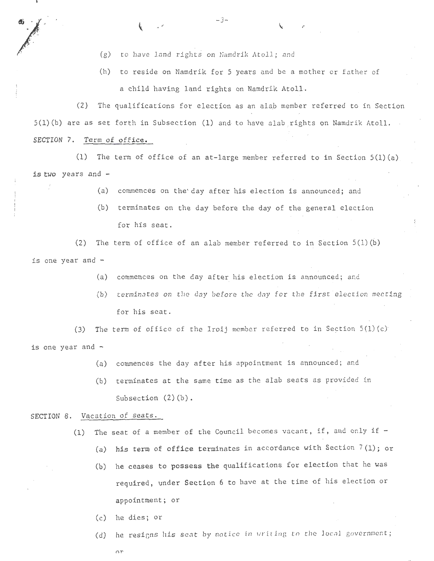- (g) to have land rights on Namdrik Atoll; and
- (h) to reside on Namdrik for 5 years and be a mother or father of a child having land rights on Namdrik Atoll.

r

X

. i

(2) The qualifications for election as an alab memoer referred to in Section  $5(1)(b)$  are as set forth in Subsection  $(1)$  and to have alab rights on Namdrik Atoll. SECTION 7. Term of office.

 $-3-$ 

(1) The term of office of an at-large member referred to in Section  $5(1)(a)$ is two years and -

- (a) commences on the'day after his election is announced; and
- (b) terminates on the day before the day of the general election for his seat.

(2) The term of office of an alab member referred to in Section  $5(1)(b)$ is one year and -

- (a) commences on the day after his election is announced; and
- (b) terminates on the day before the day for the first election meeting for his seat.

(3) The term of office of the Iroij member referred to in Section  $5(1)(c)$ is one year and -

- (a) commences the day after his appointment is announced; and
- (b) terminates at the same time as the alab seats as provided in Subsection (2)(b).

## SECTION 8. Vacation of seats.

 $\frac{1}{\sqrt{2}}$ 

' .

.

- (1) The seat of a member of the Council becomes vacant, if, and only if  $-$ 
	- (a) his term of office terminates in accordance with Section 7(1); or
	- (b) he ceases to possess the qualifications for election that he was required, under Section 6 to have at the time of his election or appointment; or
	- (c) he dies; or
	- (d) he resigns his seat by notice in writing to the local government;

nr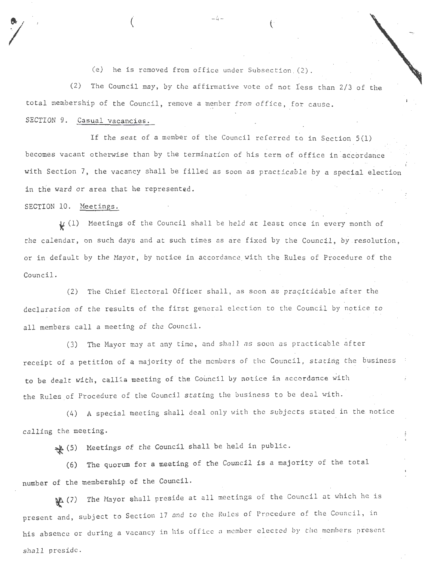(e) he is removed from office under Subsection  $(2)$ .

 $\left($   $-4-\right)$ 

(2) The Council may, by the affirmative vote of not less than 2/3 of the total membership of the Council, remove a member from office, for cause.

## SECTION 9. Casual vacancies.

If the seat of a member of the Council referred to in Section 5(1) becomes vacant otherwise than by the termination of his term of office in accordance with Section 7, the vacancy shall be filled as soon as practicable by a special election in the ward or area that he represented.

## SECTION 10. Meetings.

 $\mu$  (1) Meetings of the Council shall be held at least once in every month of the calendar, on such days and at such times as are fixed by the Council, by resolution, or in default by the Hayor, by notice in accordance. with the Rules of Procedure of the Council.

(2) The Chief Electoral Officer shall, as soon as praciticable after the declaration of the results of the first general election to the Council by notice to all members call a meeting of the Council.

(3) The Mayor may at any time, and shall as soon as practicable after receipt of a petition of a majority of the members of the Council, stating the business to be dealt with, callia meeting of the Council by notice in accordance with the Rules of Procedure of the Council stating the business to be deal with.

(4) A special meeting shall deal only with the subjects stated in the notice calling the meeting.

~ (5) Meetings of the Council shall be held in public.

(6) The quorum for a meeting of the Council is a majority of the total number of the membership of the Council.

<sup>~</sup>(7) The Mayor shall preside at all meetings of the Council at which he is present and, subject to Section 17 and to the Rules of Procedure of the Council, in his absence or during a vacancy in his office a member elected by the members present shall preside.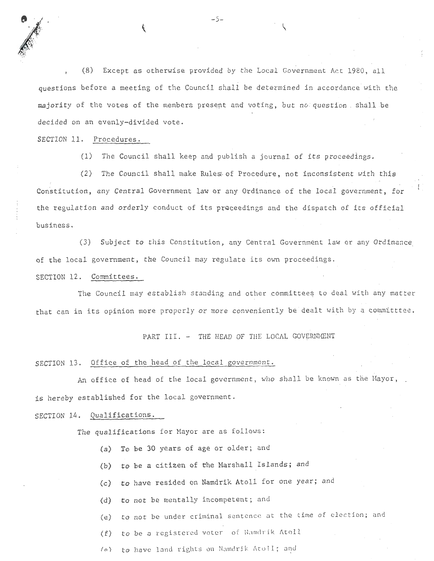(8) Except as otherwise provided by the Local Government Act 1980, all questions before a meeting of the Council shall be determined in accordance with the majority of the votes of the members present and voting, but no question . shall be decided on an evenly-divided vote.

 $-5-$  .  $\qquad \qquad \qquad$ 

SECTION 11. Procedures.

(1) The Council shall keep and publish a journal of its proceedings.

(2) The Council shall make Rules of Procedure, not inconsistent with this Constitution, any Central Government law or any Ordinance of the local government, for the regulation and orderly conduct of its proceedings and the dispatch of its official business.

(3) Subject to this Constitution, any Central Government law or any Ordinance of the local government, the Council may regulate its own proceedings.

SECTION 12. Committees.

The Council may establish standing and other committees to deal with any matter that can in its opinion more properly or more conveniently be dealt with by a committtee.

PART III. - THE HEAD OF THE LOCAL GOVERNMENT

## SECTION 13. Office of the head of the local government.

An office of head of the local government, who shall be known as the Hayor, is hereby established for the local government.

SECTION 14. Qualifications.

The qualifications for Mayor are as follows :

- (a) To be 30 years of age or older; and
- (b) to be a citizen of the Marshall Islands; and
- (c) to have resided on Namdrik Atoll for one year; and
- (d) to not be mentally incompetent; and
- (e) to not be under criminal sentence at the time of election; and
- (f) to be a registered voter of Namdrik Atoll
- (o) to have land rights on Namdrik Atoll; and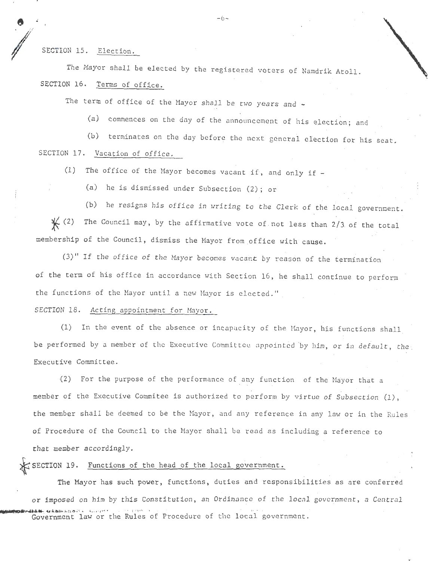SECTION 15. Election.

 $\dot{\bullet}$   $-6$  -

The Mayor shall be elected by the registered voters of Namdrik Atoll. SECTION 16. Terms of office.

The term of office of the Mayor shall be two years and -

(a) commences on the day of the announcement of his election; and

(b) terminates on the day before the next general election for his seat. SECTION 17. Vacation of office.

(1) The office of the Mayor becomes vacant if, and only if  $-$ 

(a) he is dismissed under Subsection (2); or

(b) he resigns his office in writing to the Clerk of the local government.  $\mathcal{K}$  (2) The Council may, by the affirmative vote of not less than 2/3 of the total membership of the Council, dismiss the Mayor from office with cause.

 $(3)$ " If the office of the Mayor becomes vacant by reason of the termination of the term of his office in accordance with Section 16, he shall continue to perform the functions of the Mayor until a new Mayor is elected."

SECTION 18. Acting appointment for Mayor.

(1) In the event of the absence or incapacity of the Hayor, his functions shall be performed by a member of the Executive Committee appointed by him, or in default, the Executive Committee.

(2) For the purpose of the performance of any function of the Mayor that a member of the Executive Commitee is authorized to perform by virtue of Subsection (1) , the member shall be deemed to be the Mayor, and any reference in any law or in the Rules of Procedure of the Council to the Mayor shall be read as including a reference to that member accordingly.

SECTION 19. Functions of the head of the local government.

The Mayor has such power, functions, duties and responsibilities as are conferred or imposed on him by this Constitution, an Ordinance of the local government, a Central WE ALLE GLUBLE GLUBLES IN THE VIOLET COVERNMENT COVERNMENT.<br>Government law or the Rules of Procedure of the local government.

,.,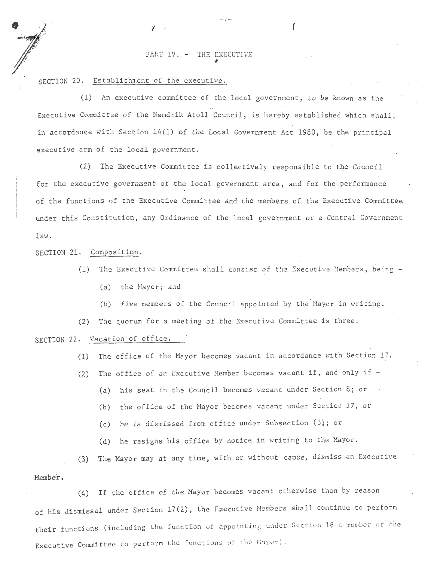## PART IV. - THE EXECUTIVE

SECTION 20. Establishment of the executive.

(1) An executive committee of the local government, to be known as the Executive Committee of the Namdrik Atoll Council, is hereby established which shall, in accordance with Section  $14(1)$  of the Local Government Act 1980, be the principal executive arm of the local government.

~

- I -  $\mathcal{I}$  (and the contract of  $\mathcal{I}$ 

(2) The Executive Committee is collectively responsible to the Council for the executive government of the local government area, and for the performance of the functions of the Executive Committee and the members of the Executive Committee under this Constitution, any Ordinance of the local government or a Central Government law.

SECTION 21. Composition.

**e** 

**Julie 1999** 

'

*·-* 

:

'

- (1) The Executive Committee shall consist of the Executive Hembers, being
	- (a) the Mayor; and
	- (b) five members of the Council appointed by the Hayor in writing,

(2) The quorum for a meeting of the Executive Committee is three.

SECTION 22. Vacation of office.

(1) The office of the Mayor becomes vacant in accordance with Section 17.

(2) The office of an Executive Member becomes vacant if, and only if  $-$ 

- (a) his seat in the Council becomes vacant under Section 8; or
- (b) the office of the Hayor becomes vacant under Section 17; or
- (c) he is dismissed from office under Subsection (3}; or
- (d) he resigns his office by notice in writing to the Mayor.

(3) The Mayor may at any time, with or without ·cause, dismiss an Executive **Member.** 

(4) If the office of the Mayor becomes vacant otherwise than by reason of his dismissal under Section 17(2), the Executive Members shall continue to perform their functions (including the function of appointing under Section 18 a member of the Executive Committee to perform the functions of the Mayor).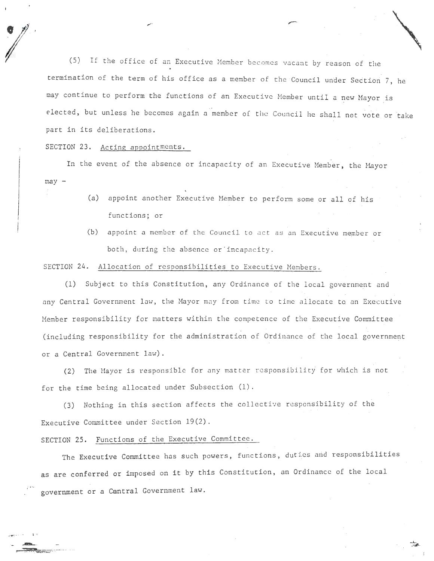(5) If the office of an Executive Member becomes vacant by reason of the termination of the term of his office as a member of the Council under Section 7, he may continue to perform the functions of an Executive Member until a new Mayor is elected, but unless he becomes again a member of the Council he shall not vote or take part in its deliberations.

## SECTION 23. Acting appointments.

,..

In the event of the absence or incapacity of an Executive Member, the Mayor  $may -$ 

- (a) appoint another Executive Hember to perform some or all of his functions; or
- (b) appoint a member of the Council to act as an Executive member or both, during the absence or incapacity.

## SECTION 24. Allocation of responsibilities to Executive Members.

(1) Subject to this Constitution, any Ordinance of the local government and any Central Government law, the Mayor may from time to time allocate to an Executive Member responsibility for matters within the competence of the Executive Committee (including responsibility for the administration of Ordinance of the local government or a Central Government law).

(2) The Mayor is responsible for any matter responsibility for which is not for the time being allocated under Subsection (1).

(3) Nothing in this section affects the collective responsibility of the Executive Committee under Section 19(2).

## SECTION 25. Functions of the Executive Committee.

\_,.,.. . .... <sup>~</sup>

 $\mathbf{r}$ 

The Executive Committee has such powers, functions, duties and responsibilities as are conferred or imposed on it by this Constitution, an Ordinance of the local government or a Cantral Government law.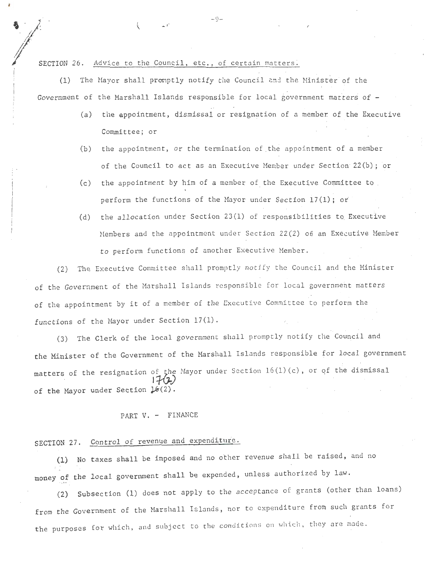SECTION 26. Advice to the Council, etc., of certain matters.

(1) The Mayor shall promptly notify the Council and the Minister of the Government of the Marshall Islands responsible for local government matters of  $-$ 

-9-

- (a) the appointment, dismissal or resignation of a member of the Executive Committee; or
- (b) the appointment, or the termination of the appointment of a member of the Council to act as an Executive Member under Section  $22(b)$ ; or
- $(c)$  the appointment by him of a member of the Executive Committee to. perform the functions of the Mayor under Section 17(1); *oi*
- (d) the allocation under Section  $23(1)$  of responsibilities to Executive Members and the appointment under Section 22(2) of an Executive Member to perform functions of another Executive Member.

(2) The Executive Committee shall promptly notify the Council and the Minister of the Government of the Marshall Islands responsible for local government matters of the appointment by it of a member of the Executive Committee to perform the functions of the Mayor under Section  $17(1)$ .

(3) The Clerk of the local government shall promptly notify the Council and the Minister of the Government of the Marshall Islands responsible for local government matters of the resignation of the Mayor under Section  $16(1)(c)$ , or of the dismissal<br> $17(7)$ of the Mayor under Section  $\downarrow$ 6(2).

PART V. - FINANCE

# SECTION 27. Control of revenue and expenditure.

(1) No taxes shall be imposed and no other revenue shall be raised, and no money of the local government shall be expended, unless authorized by law.

(2) Subsection (1) does not apply to the acceptance of grants (other than loans) from the Government of the Marshall Islands, nor to expenditure from such grants for the purposes for which, and subject to the conditions on which, they are made.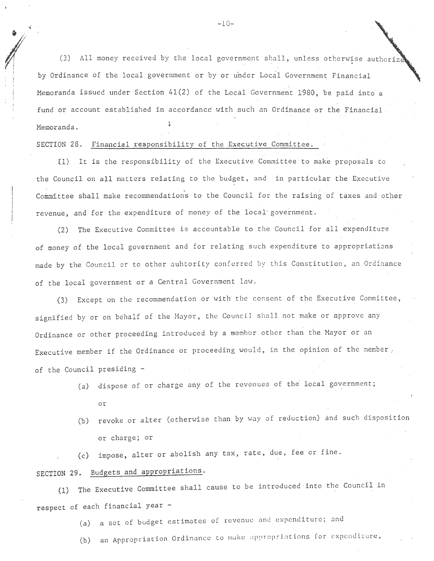$\frac{1}{\sqrt{2}}$ (3) All money received by the local government shall, unless otherwise authorize by Ordinance of the local government or by or under Local Government Financial ., Memoranda issued under Section  $41(2)$  of the Local Government 1980, be paid into a fund or account established in accordance with such an Ordinance or the Financial Memoranda.

## SECTION 28. Financial responsibility of the Executive Committee.

I I  $\mathbf{I} = \mathbf{I}$  $\mathbb{R}$ i

> {1) It is the responsibility of the Executive Committee to make proposals to the Council on all matters relating to the budget, and in particular the Executive Committee shall make recommendations to the Council for the raising of taxes and other revenue, and for the expenditure of money of the local· government.

> (2) The Executive Committee is accountable to the Council for all expenditure of money of the local government and for relating such expenditure to appropriations made by the Council or to other auhtority conferred by this Constitution, an Ordinance of the local government or a Central Government law.

> (3) Except on the recommendation or with the consent of the Executive Committee, signified by or on behalf of the Mayor, the Council shall not make or approve any Ordinance or other proceeding introduced by a member other than the Mayor or an Executive member if the Ordinance or proceeding would, in the opinion of the member, of the Council presiding -

- (a) dispose of or charge any of the revenues of the local government; or
- (b) revoke or alter (otherwise than by way of reduction) and such disposition or charge; or

(c) impose, alter or abolish any tax, rate, due, fee or fine.

# SECTION 29. Budgets and appropriations.

(1) The Executive Committee shall cause to be introduced into the Council in respect of each financial year -

(a) a set of budget estimates of revenue and expenditure; and

(b) an Appropriation Ordinance to make appropriations for expenditure,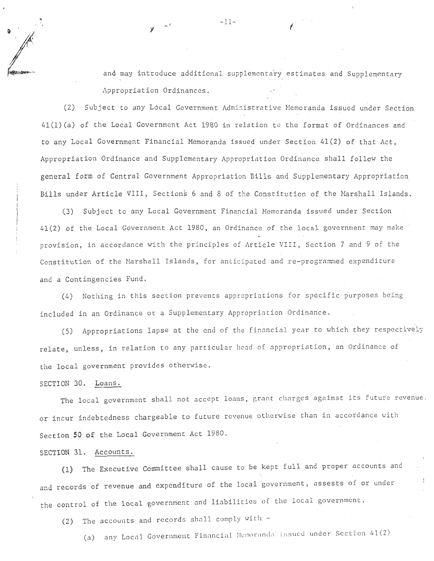and may introduce additional supplementary estimates and Supplementary Appropriation Ordinances.

(2) Subject to any Local Government Administrative Memoranda issued under Section 4l(l)(a) of the Local Government Act 1980 in relation to the format of Ordinances and to any Local Government Financial Memoranda issued under Section 41 (2). of that Act, Appropriation Ordinance and Supplementary Appropriation Ordinance shall follow the general form of Central Government Appropriation Bills and Supplementary Appropriation Bills under Article VIII, Sections 6 and 8 of the Constitution of the Marshall Islands.

(3) Subject to any Local Government Financial Memoranda issued under Section 41(2) of the Local Government Act 1980, an Ordinance of the local government may make provision, in accordance with the principles of Article VIII, Section 7 and 9 of the Constitution of the Marshall Islands, for anticipated and re-programmed expenditure and a Contingencies Fund.

(4) Nothing in this section prevents appropriations for specific purposes being included in an Ordinance or *a* Supplementary Appropriation Ordinance.

(5) Appropriations lapse at the end of the financial year to which they respectively relate, unless, in relation to any particular head of appropriation, an Ordinance of the local government provides otherwise.

## SECTION 30. Loans .

The local government shall not accept loans, grant charges against its future revenue. or incur indebtedness chargeable to future revenue otherwise than in accordance with Section *50* of the Local Government Act 1980.

## SECTION 31. Accounts.

(1) The Executive Committee shall cause to be kept full and proper accounts and and records of revenue and expenditure of the local government, assests of or under the control of the local government and liabilities of the local government.

(2) The accounts and records shnll comply with -

(a) any Local Government Financial Memoranda issued under Section 41(2)

 $\gamma$  -11-  $\gamma$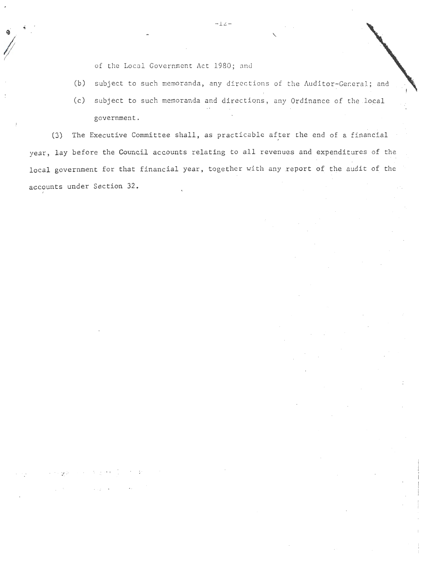of the Local Government Act 1980; and

(b) subject to such memoranda, any directions of the Auditor-General; and

 $\mathcal{L}$   $\mathcal{L}$ 

(c) subject to such memoranda and directions, any Ordinance of the local government.

(3) The Executive Committee shall, as practicable after the end of a financial year, lay before the Council accounts relating to all revenues and expenditures of the local government for that financial year, together with any report of the audit of the accounts under Section 32. I

*- l L-*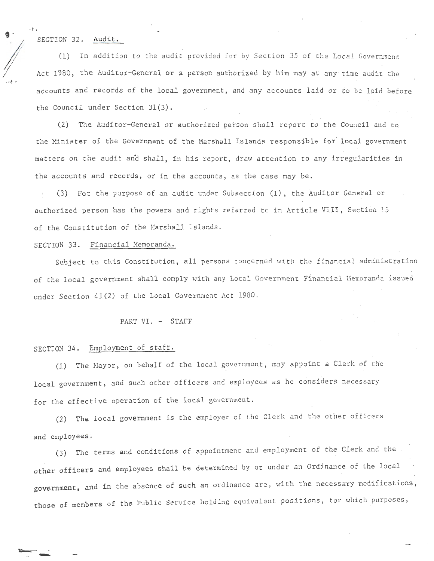SECTION 32. Audit.

,, .

(1) In addition to the audit provided for by Section 35 of the Local Government Act 1980, the Auditor-General or a person authorized by him may at any time audit the accounts and records of the local government, and any accounts laid or to be laid before the Council under Section 31(3).

(2) The Auditor-General or authorized person shall report to the Council and to the Minister of the Government of the Marshall Islands responsible for local government matters on the audit an'd shall, in his report, draw attention to any irregularities in the accounts and records, or in the accounts, as the case may be.

(3) For the purpose of an autlit under Subsection (1), the Auditor General or authorized person has the powers and rights referred to in Article VIII, Section 15 of the Constitution of the Marshall Islands.

## SECTION 33. Financial Memoranda.

Subject to this Constitution, all persons concerned with the financial administration of the local government shall comply with any Local Government Financial Memoranda issued under Section 41(2) of the Local Government Act 1980.

## PART VI. - STAFF

## SECTION 34. Employment of staff.

-

(l) The Nayor , on behalf of the local government, moy appoint a Clerk of the local government, and such other officers and employees as he considers necessary for the effective operation of the local government.

(2) The local government is the employer of the Clerk and the other officers and employees.

(3) The terms and conditions of appointment and employment of the Clerk and the other officers and employees shall be determined by or under an Ordinance of the local government, and in the absence of such an ordinance are, with the necessary modifications, .<br>those of members of the Public Service holding equivalent positions, for which purposes,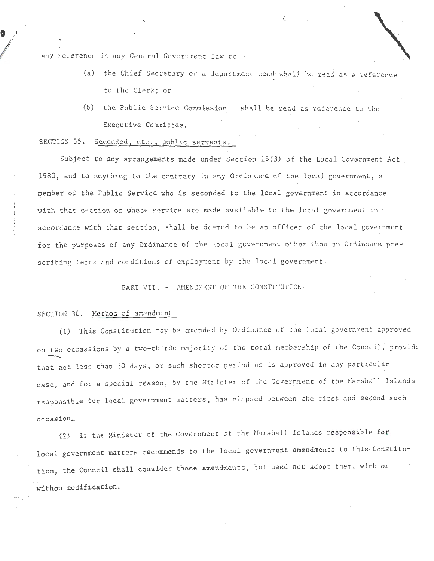any reference in any Central Government law to  $-$ 

 $\hat{\mathbf{9}}$   $\hat{r}$ 

**I** 

<sup>~</sup>j . .~ .: -

- (a) the Chief Secretary or a department head-shall be read as a reference to the Clerk; or
- (b) the Public Service Commission shall be read as reference to the Executive Committee.

## SECTION 35. Seconded, etc., public servants.

Subject to any arrangements made under Section 16(3) of the Local Government Act 1980, and to anything to the contrary in any Ordinance of the local government, a member of the Public Service who is seconded to the local government in accordance with that section or whose service are made available to the local government in accordance with that section, shall be deemed to be an officer of the local government for the purposes of any Ordinance of the local government other than an Ordinance prescribing terms and conditions of employment by the local government.

PART VII. - AMENDMENT OF THE CONSTITUTION

## SECTION 36. Method of amendment

(1) This Constitution may be amended by Ordinance of the local government approved on two occassions by a two-thirds majority of the total membership of the Council, provide that not less than 30 days, or such shorter period as is approved in any particular case, and for a special reason, by the Ninister of the Government of the Narshall Islands responsible for local government matters, has elapsed betweeh the first and second such  $occasion_+$ ,

(2) If the Hinister of the Government of the Marshall Islands responsible for local government matters recommends to the local government amendments to this Constitution, the Council shall consider those amendments, but need not adopt them, with or withou modification .